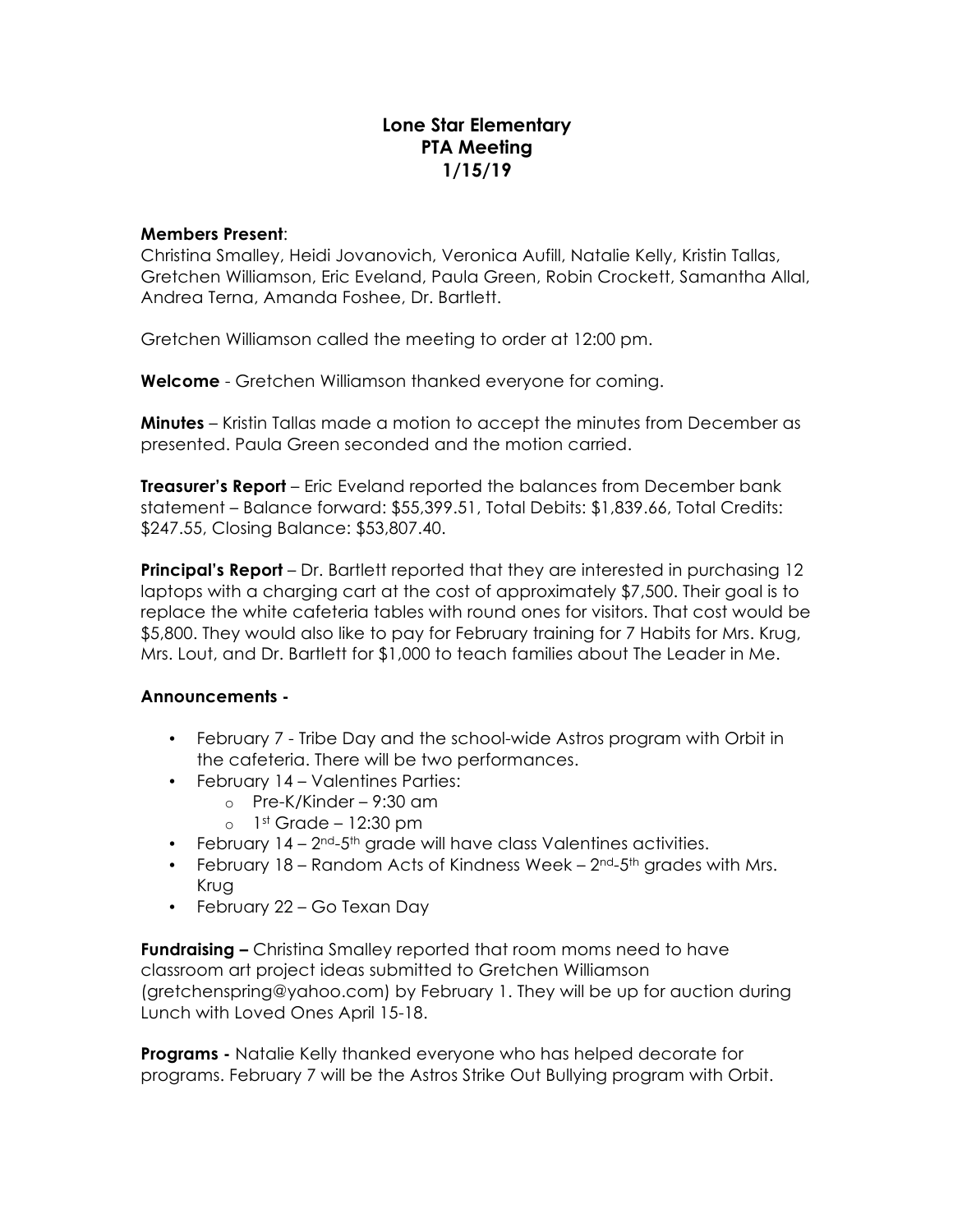# **Lone Star Elementary PTA Meeting 1/15/19**

#### **Members Present**:

Christina Smalley, Heidi Jovanovich, Veronica Aufill, Natalie Kelly, Kristin Tallas, Gretchen Williamson, Eric Eveland, Paula Green, Robin Crockett, Samantha Allal, Andrea Terna, Amanda Foshee, Dr. Bartlett.

Gretchen Williamson called the meeting to order at 12:00 pm.

**Welcome** - Gretchen Williamson thanked everyone for coming.

**Minutes** – Kristin Tallas made a motion to accept the minutes from December as presented. Paula Green seconded and the motion carried.

**Treasurer's Report** – Eric Eveland reported the balances from December bank statement – Balance forward: \$55,399.51, Total Debits: \$1,839.66, Total Credits: \$247.55, Closing Balance: \$53,807.40.

**Principal's Report** – Dr. Bartlett reported that they are interested in purchasing 12 laptops with a charging cart at the cost of approximately \$7,500. Their goal is to replace the white cafeteria tables with round ones for visitors. That cost would be \$5,800. They would also like to pay for February training for 7 Habits for Mrs. Krug, Mrs. Lout, and Dr. Bartlett for \$1,000 to teach families about The Leader in Me.

### **Announcements -**

- February 7 Tribe Day and the school-wide Astros program with Orbit in the cafeteria. There will be two performances.
- February 14 Valentines Parties:
	- o Pre-K/Kinder 9:30 am
	- $\circ$  1st Grade 12:30 pm
- February  $14 2^{nd} 5^{th}$  grade will have class Valentines activities.
- February 18 Random Acts of Kindness Week  $2^{nd}$ -5<sup>th</sup> grades with Mrs. Krug
- February 22 Go Texan Day

**Fundraising –** Christina Smalley reported that room moms need to have classroom art project ideas submitted to Gretchen Williamson (gretchenspring@yahoo.com) by February 1. They will be up for auction during Lunch with Loved Ones April 15-18.

**Programs -** Natalie Kelly thanked everyone who has helped decorate for programs. February 7 will be the Astros Strike Out Bullying program with Orbit.